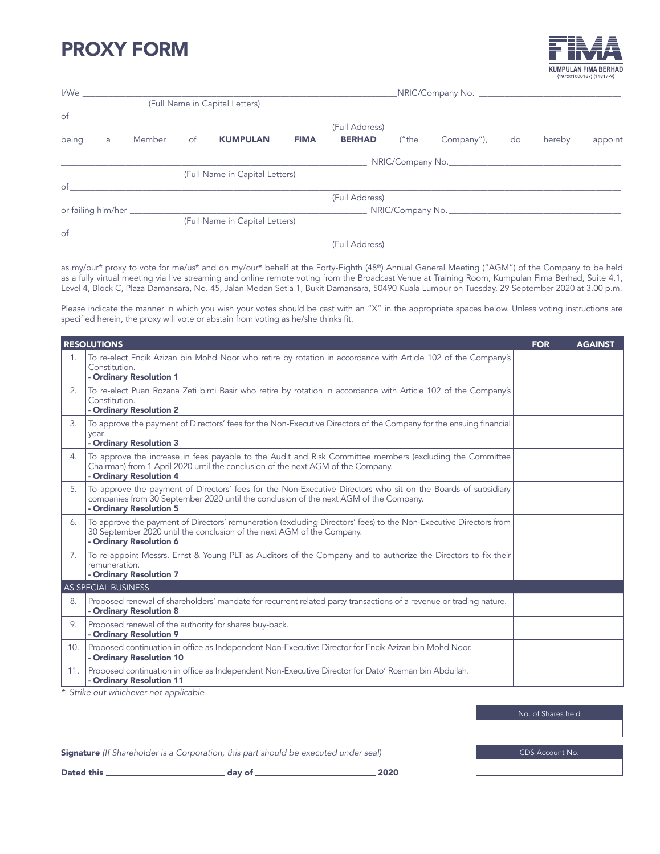# PROXY FORM



|           |   |                                                                                                                                                                                                                                                          |    | (Full Name in Capital Letters) |             |                |       |                  |    |        |         |  |
|-----------|---|----------------------------------------------------------------------------------------------------------------------------------------------------------------------------------------------------------------------------------------------------------|----|--------------------------------|-------------|----------------|-------|------------------|----|--------|---------|--|
| of        |   |                                                                                                                                                                                                                                                          |    |                                |             |                |       |                  |    |        |         |  |
|           |   |                                                                                                                                                                                                                                                          |    |                                |             | (Full Address) |       |                  |    |        |         |  |
| being     | a | Member                                                                                                                                                                                                                                                   | of | <b>KUMPULAN</b>                | <b>FIMA</b> | <b>BERHAD</b>  | ("the | Company"),       | do | hereby | appoint |  |
|           |   |                                                                                                                                                                                                                                                          |    |                                |             |                |       | NRIC/Company No. |    |        |         |  |
|           |   |                                                                                                                                                                                                                                                          |    | (Full Name in Capital Letters) |             |                |       |                  |    |        |         |  |
| of        |   |                                                                                                                                                                                                                                                          |    |                                |             |                |       |                  |    |        |         |  |
|           |   |                                                                                                                                                                                                                                                          |    |                                |             | (Full Address) |       |                  |    |        |         |  |
|           |   | or failing him/her <u>sails and the same of the same of the same of the same of the same of the same of the same of the same of the same of the same of the same of the same of the same of the same of the same of the same of </u><br>NRIC/Company No. |    |                                |             |                |       |                  |    |        |         |  |
|           |   |                                                                                                                                                                                                                                                          |    | (Full Name in Capital Letters) |             |                |       |                  |    |        |         |  |
| $\circ$ f |   |                                                                                                                                                                                                                                                          |    |                                |             |                |       |                  |    |        |         |  |
|           |   |                                                                                                                                                                                                                                                          |    |                                |             | (Full Address) |       |                  |    |        |         |  |

as my/our\* proxy to vote for me/us\* and on my/our\* behalf at the Forty-Eighth (48<sup>th</sup>) Annual General Meeting ("AGM") of the Company to be held as a fully virtual meeting via live streaming and online remote voting from the Broadcast Venue at Training Room, Kumpulan Fima Berhad, Suite 4.1, Level 4, Block C, Plaza Damansara, No. 45, Jalan Medan Setia 1, Bukit Damansara, 50490 Kuala Lumpur on Tuesday, 29 September 2020 at 3.00 p.m.

Please indicate the manner in which you wish your votes should be cast with an "X" in the appropriate spaces below. Unless voting instructions are specified herein, the proxy will vote or abstain from voting as he/she thinks fit.

|                | <b>RESOLUTIONS</b>                                                                                                                                                                                                                | <b>FOR</b> | <b>AGAINST</b> |
|----------------|-----------------------------------------------------------------------------------------------------------------------------------------------------------------------------------------------------------------------------------|------------|----------------|
| $\mathbf{1}$ . | To re-elect Encik Azizan bin Mohd Noor who retire by rotation in accordance with Article 102 of the Company's<br>Constitution.<br>- Ordinary Resolution 1                                                                         |            |                |
| 2.             | To re-elect Puan Rozana Zeti binti Basir who retire by rotation in accordance with Article 102 of the Company's<br>Constitution.<br>- Ordinary Resolution 2                                                                       |            |                |
| 3.             | To approve the payment of Directors' fees for the Non-Executive Directors of the Company for the ensuing financial<br>year.<br>- Ordinary Resolution 3                                                                            |            |                |
| 4.             | To approve the increase in fees payable to the Audit and Risk Committee members (excluding the Committee<br>Chairman) from 1 April 2020 until the conclusion of the next AGM of the Company.<br>- Ordinary Resolution 4           |            |                |
| 5.             | To approve the payment of Directors' fees for the Non-Executive Directors who sit on the Boards of subsidiary<br>companies from 30 September 2020 until the conclusion of the next AGM of the Company.<br>- Ordinary Resolution 5 |            |                |
| 6.             | To approve the payment of Directors' remuneration (excluding Directors' fees) to the Non-Executive Directors from<br>30 September 2020 until the conclusion of the next AGM of the Company.<br>- Ordinary Resolution 6            |            |                |
| 7.             | To re-appoint Messrs. Ernst & Young PLT as Auditors of the Company and to authorize the Directors to fix their<br>remuneration.<br>- Ordinary Resolution 7                                                                        |            |                |
|                | AS SPECIAL BUSINESS                                                                                                                                                                                                               |            |                |
| 8.             | Proposed renewal of shareholders' mandate for recurrent related party transactions of a revenue or trading nature.<br>- Ordinary Resolution 8                                                                                     |            |                |
| 9.             | Proposed renewal of the authority for shares buy-back.<br>- Ordinary Resolution 9                                                                                                                                                 |            |                |
| 10.            | Proposed continuation in office as Independent Non-Executive Director for Encik Azizan bin Mohd Noor.<br>- Ordinary Resolution 10                                                                                                 |            |                |
| 11.            | Proposed continuation in office as Independent Non-Executive Director for Dato' Rosman bin Abdullah.<br>- Ordinary Resolution 11                                                                                                  |            |                |
| $+ 0.4$        | 11.71.1                                                                                                                                                                                                                           |            |                |

*\* Strike out whichever not applicable*

No. of Shares held

Signature *(If Shareholder is a Corporation, this part should be executed under seal)*

Dated this day of 2020

CDS Account No.